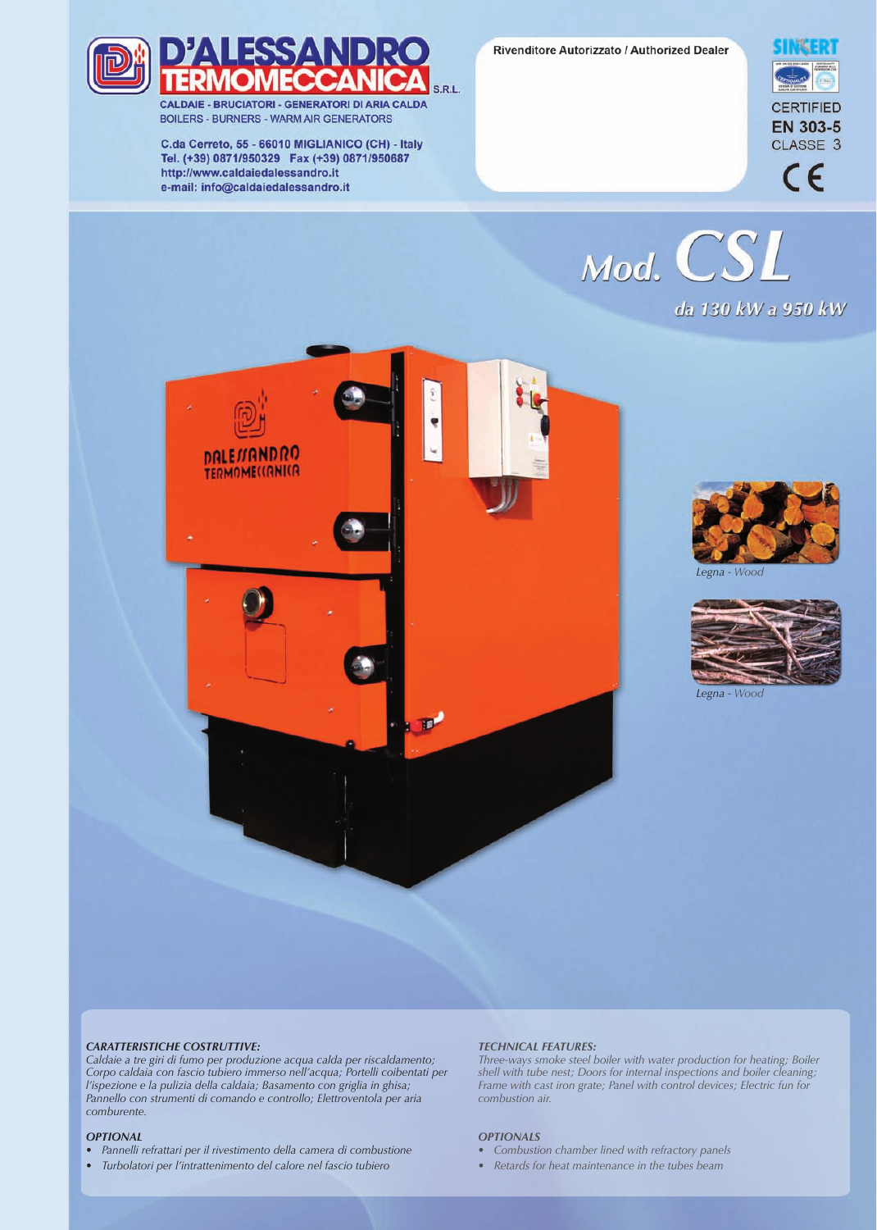Rivenditore Autorizzato / Authorized Dealer





CALDAIE - BRUCIATORI - GENERATORI DI ARIA CALDA **BOILERS - BURNERS - WARM AIR GENERATORS** 

C.da Cerreto, 55 - 66010 MIGLIANICO (CH) - Italy Tel. (+39) 0871/950329 Fax (+39) 0871/950687 http://www.caldaiedalessandro.it e-mail: info@caldaiedalessandro.it



Mod. CSL da 130 kW a 950 kW





*Legna - Wood*



*Legna - Wood*

## *CARATTERISTICHE COSTRUTTIVE:*

*Caldaie a tre giri di fumo per produzione acqua calda per riscaldamento; Corpo caldaia con fascio tubiero immerso nell'acqua; Portelli coibentati per l'ispezione e la pulizia della caldaia; Basamento con griglia in ghisa; Pannello con strumenti di comando e controllo; Elettroventola per aria comburente.*

## *OPTIONAL*

- *Pannelli refrattari per il rivestimento della camera di combustione*
- *Turbolatori per l'intrattenimento del calore nel fascio tubiero*

## *TECHNICAL FEATURES:*

*Three-ways smoke steel boiler with water production for heating; Boiler shell with tube nest; Doors for internal inspections and boiler cleaning; Frame with cast iron grate; Panel with control devices; Electric fun for combustion air.*

## *OPTIONALS*

- *Combustion chamber lined with refractory panels*
- *Retards for heat maintenance in the tubes beam*